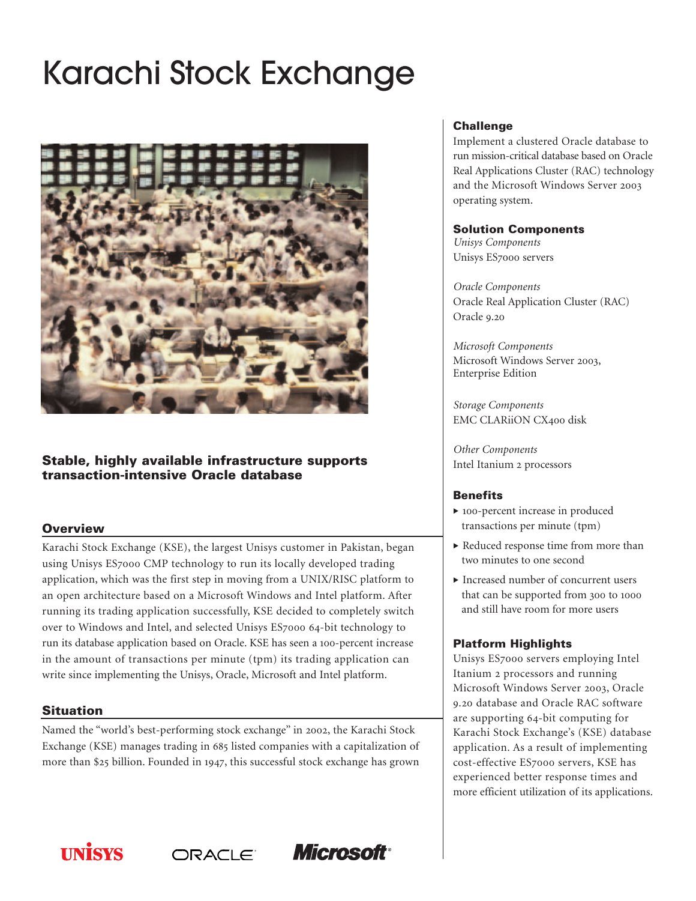# Karachi Stock Exchange



# **Stable, highly available infrastructure supports transaction-intensive Oracle database**

# **Overview**

Karachi Stock Exchange (KSE), the largest Unisys customer in Pakistan, began using Unisys ES7000 CMP technology to run its locally developed trading application, which was the first step in moving from a UNIX/RISC platform to an open architecture based on a Microsoft Windows and Intel platform. After running its trading application successfully, KSE decided to completely switch over to Windows and Intel, and selected Unisys ES7000 64-bit technology to run its database application based on Oracle. KSE has seen a 100-percent increase in the amount of transactions per minute (tpm) its trading application can write since implementing the Unisys, Oracle, Microsoft and Intel platform.

## **Situation**

Named the "world's best-performing stock exchange" in 2002, the Karachi Stock Exchange (KSE) manages trading in 685 listed companies with a capitalization of more than \$25 billion. Founded in 1947, this successful stock exchange has grown

ORACLE

*Microsoft* 

#### **Challenge**

Implement a clustered Oracle database to run mission-critical database based on Oracle Real Applications Cluster (RAC) technology and the Microsoft Windows Server 2003 operating system.

#### **Solution Components**

*Unisys Components* Unisys ES7000 servers

*Oracle Components* Oracle Real Application Cluster (RAC) Oracle 9.20

*Microsoft Components* Microsoft Windows Server 2003, Enterprise Edition

*Storage Components* EMC CLARiiON CX400 disk

*Other Components* Intel Itanium 2 processors

## **Benefits**

- 100-percent increase in produced transactions per minute (tpm)
- Reduced response time from more than two minutes to one second
- Increased number of concurrent users that can be supported from 300 to 1000 and still have room for more users

## **Platform Highlights**

Unisys ES7000 servers employing Intel Itanium 2 processors and running Microsoft Windows Server 2003, Oracle 9.20 database and Oracle RAC software are supporting 64-bit computing for Karachi Stock Exchange's (KSE) database application. As a result of implementing cost-effective ES7000 servers, KSE has experienced better response times and more efficient utilization of its applications.

**INISYS**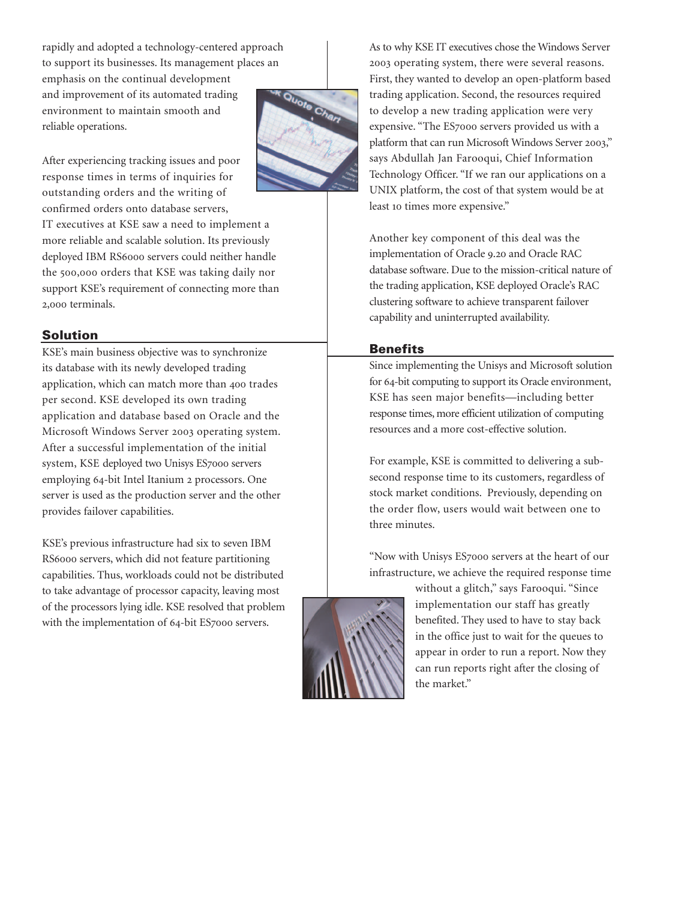rapidly and adopted a technology-centered approach to support its businesses. Its management places an emphasis on the continual development and improvement of its automated trading environment to maintain smooth and reliable operations.

After experiencing tracking issues and poor response times in terms of inquiries for outstanding orders and the writing of confirmed orders onto database servers,

IT executives at KSE saw a need to implement a more reliable and scalable solution. Its previously deployed IBM RS6000 servers could neither handle the 500,000 orders that KSE was taking daily nor support KSE's requirement of connecting more than 2,000 terminals.

# **Solution**

KSE's main business objective was to synchronize its database with its newly developed trading application, which can match more than 400 trades per second. KSE developed its own trading application and database based on Oracle and the Microsoft Windows Server 2003 operating system. After a successful implementation of the initial system, KSE deployed two Unisys ES7000 servers employing 64-bit Intel Itanium 2 processors. One server is used as the production server and the other provides failover capabilities.

KSE's previous infrastructure had six to seven IBM RS6000 servers, which did not feature partitioning capabilities. Thus, workloads could not be distributed to take advantage of processor capacity, leaving most of the processors lying idle. KSE resolved that problem with the implementation of 64-bit ES7000 servers.



As to why KSE IT executives chose the Windows Server 2003 operating system, there were several reasons. First, they wanted to develop an open-platform based trading application. Second, the resources required to develop a new trading application were very expensive. "The ES7000 servers provided us with a platform that can run Microsoft Windows Server 2003," says Abdullah Jan Farooqui, Chief Information Technology Officer. "If we ran our applications on a UNIX platform, the cost of that system would be at least 10 times more expensive."

Another key component of this deal was the implementation of Oracle 9.20 and Oracle RAC database software. Due to the mission-critical nature of the trading application, KSE deployed Oracle's RAC clustering software to achieve transparent failover capability and uninterrupted availability.

#### **Benefits**

Since implementing the Unisys and Microsoft solution for 64-bit computing to support its Oracle environment, KSE has seen major benefits—including better response times, more efficient utilization of computing resources and a more cost-effective solution.

For example, KSE is committed to delivering a subsecond response time to its customers, regardless of stock market conditions. Previously, depending on the order flow, users would wait between one to three minutes.

"Now with Unisys ES7000 servers at the heart of our infrastructure, we achieve the required response time



without a glitch," says Farooqui. "Since implementation our staff has greatly benefited. They used to have to stay back in the office just to wait for the queues to appear in order to run a report. Now they can run reports right after the closing of the market."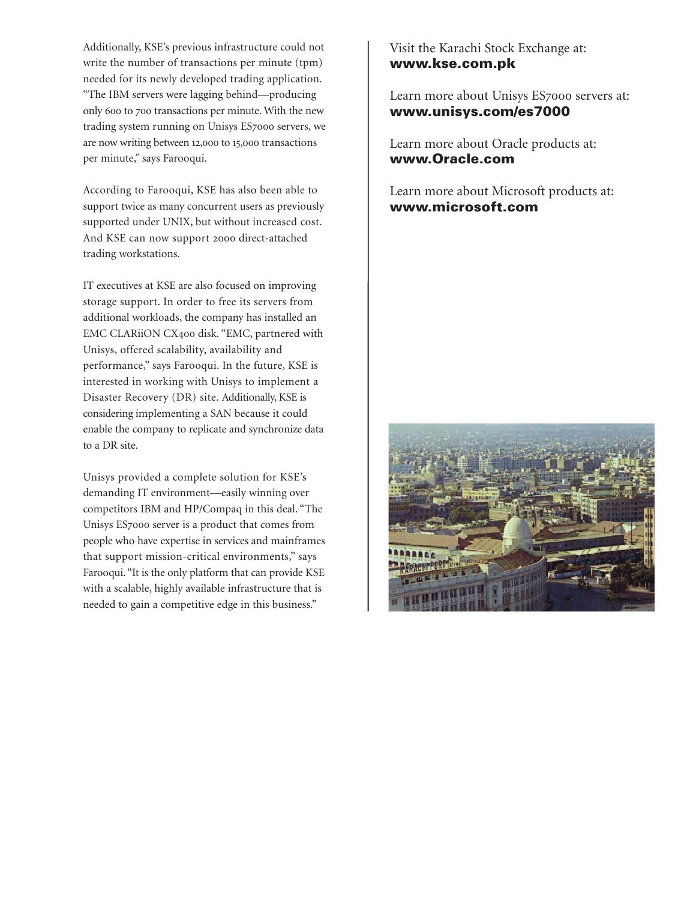Additionally, KSE's previous infrastructure could not write the number of transactions per minute (tpm) needed for its newly developed trading application. "The IBM servers were lagging behind—producing only 600 to 700 transactions per minute. With the new trading system running on Unisys ES7000 servers, we are now writing between 12,000 to 15,000 transactions per minute," says Farooqui.

According to Farooqui, KSE has also been able to support twice as many concurrent users as previously supported under UNIX, but without increased cost. And KSE can now support 2000 direct-attached trading workstations.

IT executives at KSE are also focused on improving storage support. In order to free its servers from additional workloads, the company has installed an EMC CLARiiON CX400 disk. "EMC, partnered with Unisys, offered scalability, availability and performance," says Farooqui. In the future, KSE is interested in working with Unisys to implement a Disaster Recovery (DR) site. Additionally, KSE is considering implementing a SAN because it could enable the company to replicate and synchronize data to a DR site.

Unisys provided a complete solution for KSE's demanding IT environment—easily winning over competitors IBM and HP/Compaq in this deal. "The Unisys ES7000 server is a product that comes from people who have expertise in services and mainframes that support mission-critical environments," says Farooqui. "It is the only platform that can provide KSE with a scalable, highly available infrastructure that is needed to gain a competitive edge in this business."

Visit the Karachi Stock Exchange at: **www.kse.com.pk**

Learn more about Unisys ES7000 servers at: **www.unisys.com/es7000**

Learn more about Oracle products at: **www.Oracle.com**

Learn more about Microsoft products at: **www.microsoft.com**